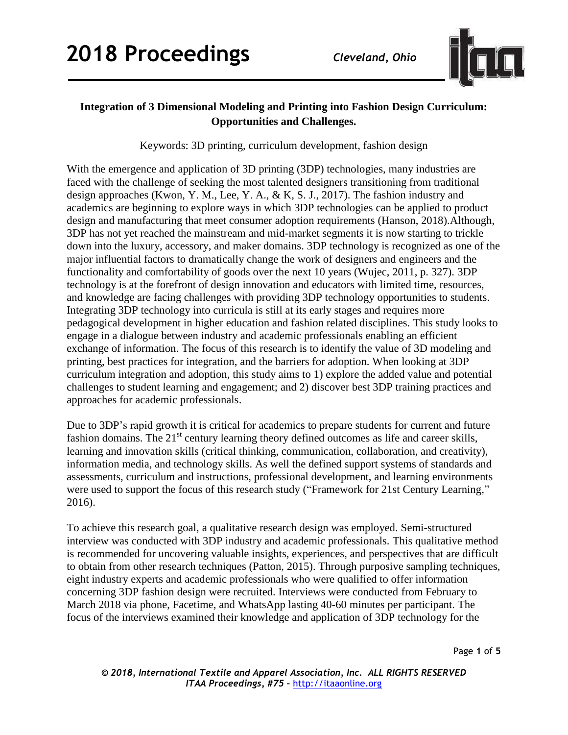

## **Integration of 3 Dimensional Modeling and Printing into Fashion Design Curriculum: Opportunities and Challenges.**

Keywords: 3D printing, curriculum development, fashion design

With the emergence and application of 3D printing (3DP) technologies, many industries are faced with the challenge of seeking the most talented designers transitioning from traditional design approaches (Kwon, Y. M., Lee, Y. A., & K, S. J., 2017). The fashion industry and academics are beginning to explore ways in which 3DP technologies can be applied to product design and manufacturing that meet consumer adoption requirements (Hanson, 2018).Although, 3DP has not yet reached the mainstream and mid-market segments it is now starting to trickle down into the luxury, accessory, and maker domains. 3DP technology is recognized as one of the major influential factors to dramatically change the work of designers and engineers and the functionality and comfortability of goods over the next 10 years (Wujec, 2011, p. 327). 3DP technology is at the forefront of design innovation and educators with limited time, resources, and knowledge are facing challenges with providing 3DP technology opportunities to students. Integrating 3DP technology into curricula is still at its early stages and requires more pedagogical development in higher education and fashion related disciplines. This study looks to engage in a dialogue between industry and academic professionals enabling an efficient exchange of information. The focus of this research is to identify the value of 3D modeling and printing, best practices for integration, and the barriers for adoption. When looking at 3DP curriculum integration and adoption, this study aims to 1) explore the added value and potential challenges to student learning and engagement; and 2) discover best 3DP training practices and approaches for academic professionals.

Due to 3DP's rapid growth it is critical for academics to prepare students for current and future fashion domains. The  $21<sup>st</sup>$  century learning theory defined outcomes as life and career skills, learning and innovation skills (critical thinking, communication, collaboration, and creativity), information media, and technology skills. As well the defined support systems of standards and assessments, curriculum and instructions, professional development, and learning environments were used to support the focus of this research study ("Framework for 21st Century Learning," 2016).

To achieve this research goal, a qualitative research design was employed. Semi-structured interview was conducted with 3DP industry and academic professionals. This qualitative method is recommended for uncovering valuable insights, experiences, and perspectives that are difficult to obtain from other research techniques (Patton, 2015). Through purposive sampling techniques, eight industry experts and academic professionals who were qualified to offer information concerning 3DP fashion design were recruited. Interviews were conducted from February to March 2018 via phone, Facetime, and WhatsApp lasting 40-60 minutes per participant. The focus of the interviews examined their knowledge and application of 3DP technology for the

Page **1** of **5**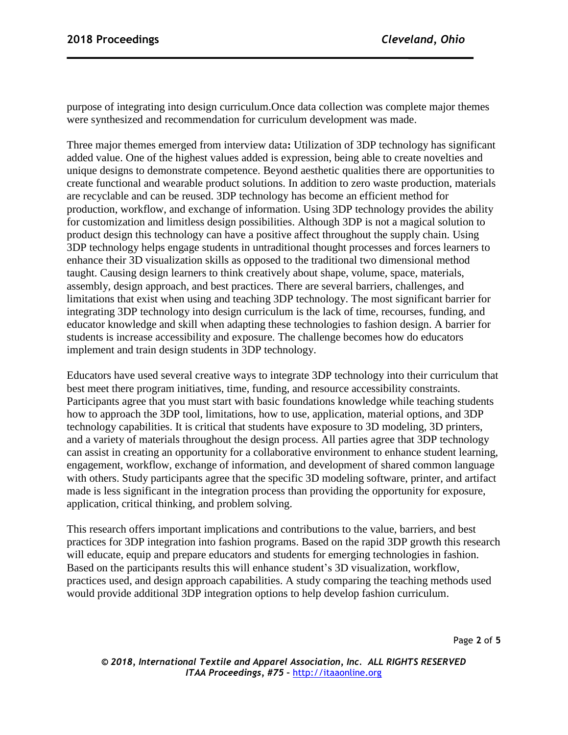purpose of integrating into design curriculum.Once data collection was complete major themes were synthesized and recommendation for curriculum development was made.

Three major themes emerged from interview data**:** Utilization of 3DP technology has significant added value. One of the highest values added is expression, being able to create novelties and unique designs to demonstrate competence. Beyond aesthetic qualities there are opportunities to create functional and wearable product solutions. In addition to zero waste production, materials are recyclable and can be reused. 3DP technology has become an efficient method for production, workflow, and exchange of information. Using 3DP technology provides the ability for customization and limitless design possibilities. Although 3DP is not a magical solution to product design this technology can have a positive affect throughout the supply chain. Using 3DP technology helps engage students in untraditional thought processes and forces learners to enhance their 3D visualization skills as opposed to the traditional two dimensional method taught. Causing design learners to think creatively about shape, volume, space, materials, assembly, design approach, and best practices. There are several barriers, challenges, and limitations that exist when using and teaching 3DP technology. The most significant barrier for integrating 3DP technology into design curriculum is the lack of time, recourses, funding, and educator knowledge and skill when adapting these technologies to fashion design. A barrier for students is increase accessibility and exposure. The challenge becomes how do educators implement and train design students in 3DP technology.

Educators have used several creative ways to integrate 3DP technology into their curriculum that best meet there program initiatives, time, funding, and resource accessibility constraints. Participants agree that you must start with basic foundations knowledge while teaching students how to approach the 3DP tool, limitations, how to use, application, material options, and 3DP technology capabilities. It is critical that students have exposure to 3D modeling, 3D printers, and a variety of materials throughout the design process. All parties agree that 3DP technology can assist in creating an opportunity for a collaborative environment to enhance student learning, engagement, workflow, exchange of information, and development of shared common language with others. Study participants agree that the specific 3D modeling software, printer, and artifact made is less significant in the integration process than providing the opportunity for exposure, application, critical thinking, and problem solving.

This research offers important implications and contributions to the value, barriers, and best practices for 3DP integration into fashion programs. Based on the rapid 3DP growth this research will educate, equip and prepare educators and students for emerging technologies in fashion. Based on the participants results this will enhance student's 3D visualization, workflow, practices used, and design approach capabilities. A study comparing the teaching methods used would provide additional 3DP integration options to help develop fashion curriculum.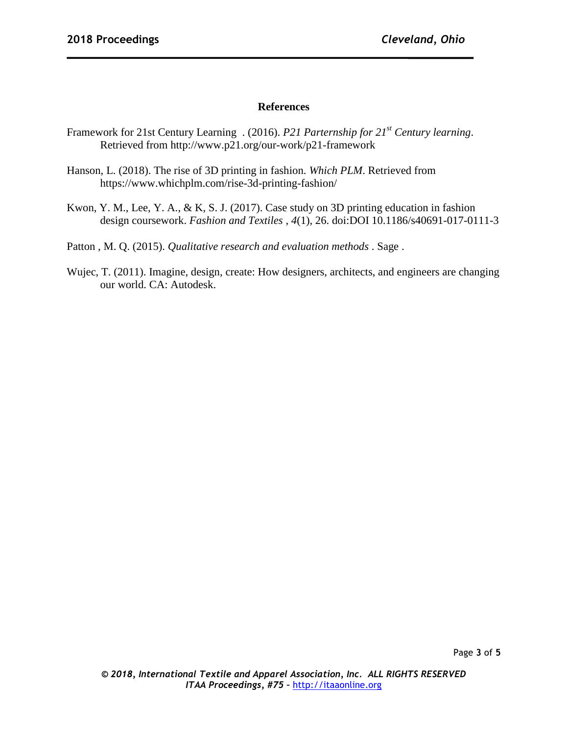## **References**

- Framework for 21st Century Learning . (2016). *P21 Parternship for 21st Century learning*. Retrieved from http://www.p21.org/our-work/p21-framework
- Hanson, L. (2018). The rise of 3D printing in fashion. *Which PLM*. Retrieved from <https://www.whichplm.com/rise-3d-printing-fashion/>
- Kwon, Y. M., Lee, Y. A., & K, S. J. (2017). Case study on 3D printing education in fashion design coursework. *Fashion and Textiles* , *4*(1), 26. doi:DOI 10.1186/s40691-017-0111-3

Patton , M. Q. (2015). *Qualitative research and evaluation methods* . Sage .

Wujec, T. (2011). Imagine, design, create: How designers, architects, and engineers are changing our world. CA: Autodesk.